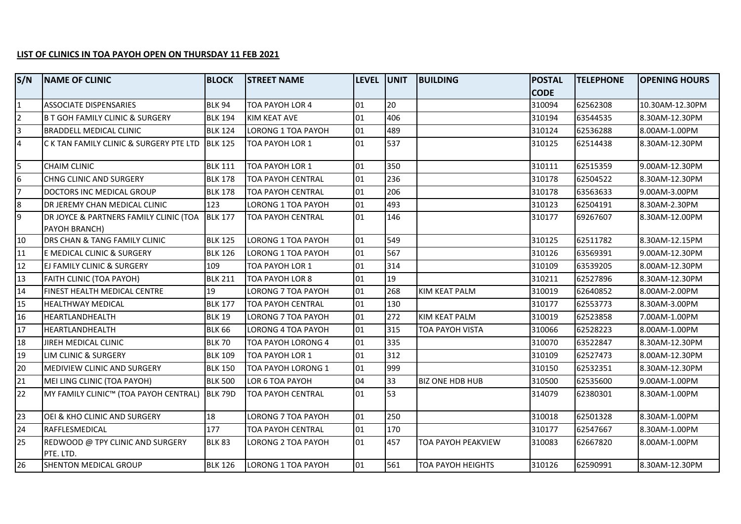## **LIST OF CLINICS IN TOA PAYOH OPEN ON THURSDAY 11 FEB 2021**

| S/N             | <b>NAME OF CLINIC</b>                                           | <b>BLOCK</b>   | <b>STREET NAME</b>        | LEVEL UNIT |     | <b>BUILDING</b>          | <b>POSTAL</b> | <b>TELEPHONE</b> | <b>OPENING HOURS</b> |
|-----------------|-----------------------------------------------------------------|----------------|---------------------------|------------|-----|--------------------------|---------------|------------------|----------------------|
|                 |                                                                 |                |                           |            |     |                          | <b>CODE</b>   |                  |                      |
| $\overline{1}$  | <b>ASSOCIATE DISPENSARIES</b>                                   | <b>BLK 94</b>  | TOA PAYOH LOR 4           | 01         | 20  |                          | 310094        | 62562308         | 10.30AM-12.30PM      |
| $\overline{2}$  | <b>B T GOH FAMILY CLINIC &amp; SURGERY</b>                      | <b>BLK 194</b> | KIM KEAT AVE              | 01         | 406 |                          | 310194        | 63544535         | 8.30AM-12.30PM       |
| $\overline{3}$  | <b>BRADDELL MEDICAL CLINIC</b>                                  | <b>BLK 124</b> | LORONG 1 TOA PAYOH        | 01         | 489 |                          | 310124        | 62536288         | 8.00AM-1.00PM        |
| $\overline{4}$  | C K TAN FAMILY CLINIC & SURGERY PTE LTD BLK 125                 |                | TOA PAYOH LOR 1           | 01         | 537 |                          | 310125        | 62514438         | 8.30AM-12.30PM       |
| 5               | <b>CHAIM CLINIC</b>                                             | <b>BLK 111</b> | TOA PAYOH LOR 1           | 01         | 350 |                          | 310111        | 62515359         | 9.00AM-12.30PM       |
| $\overline{6}$  | CHNG CLINIC AND SURGERY                                         | <b>BLK 178</b> | <b>TOA PAYOH CENTRAL</b>  | 01         | 236 |                          | 310178        | 62504522         | 8.30AM-12.30PM       |
| 7               | DOCTORS INC MEDICAL GROUP                                       | <b>BLK 178</b> | TOA PAYOH CENTRAL         | 01         | 206 |                          | 310178        | 63563633         | 9.00AM-3.00PM        |
| $\overline{8}$  | DR JEREMY CHAN MEDICAL CLINIC                                   | 123            | <b>LORONG 1 TOA PAYOH</b> | 01         | 493 |                          | 310123        | 62504191         | 8.30AM-2.30PM        |
| $\overline{9}$  | DR JOYCE & PARTNERS FAMILY CLINIC (TOA BLK 177<br>PAYOH BRANCH) |                | TOA PAYOH CENTRAL         | 01         | 146 |                          | 310177        | 69267607         | 8.30AM-12.00PM       |
| 10              | DRS CHAN & TANG FAMILY CLINIC                                   | <b>BLK 125</b> | LORONG 1 TOA PAYOH        | 01         | 549 |                          | 310125        | 62511782         | 8.30AM-12.15PM       |
| 11              | E MEDICAL CLINIC & SURGERY                                      | <b>BLK 126</b> | LORONG 1 TOA PAYOH        | 01         | 567 |                          | 310126        | 63569391         | 9.00AM-12.30PM       |
| 12              | EJ FAMILY CLINIC & SURGERY                                      | 109            | TOA PAYOH LOR 1           | 01         | 314 |                          | 310109        | 63539205         | 8.00AM-12.30PM       |
| 13              | FAITH CLINIC (TOA PAYOH)                                        | <b>BLK 211</b> | TOA PAYOH LOR 8           | 01         | 19  |                          | 310211        | 62527896         | 8.30AM-12.30PM       |
| 14              | FINEST HEALTH MEDICAL CENTRE                                    | 19             | LORONG 7 TOA PAYOH        | 01         | 268 | <b>KIM KEAT PALM</b>     | 310019        | 62640852         | 8.00AM-2.00PM        |
| 15              | <b>HEALTHWAY MEDICAL</b>                                        | <b>BLK 177</b> | TOA PAYOH CENTRAL         | 01         | 130 |                          | 310177        | 62553773         | 8.30AM-3.00PM        |
| 16              | HEARTLANDHEALTH                                                 | <b>BLK 19</b>  | LORONG 7 TOA PAYOH        | 101        | 272 | <b>KIM KEAT PALM</b>     | 310019        | 62523858         | 7.00AM-1.00PM        |
| $\overline{17}$ | HEARTLANDHEALTH                                                 | <b>BLK 66</b>  | LORONG 4 TOA PAYOH        | 01         | 315 | TOA PAYOH VISTA          | 310066        | 62528223         | 8.00AM-1.00PM        |
| 18              | JIREH MEDICAL CLINIC                                            | <b>BLK 70</b>  | TOA PAYOH LORONG 4        | 01         | 335 |                          | 310070        | 63522847         | 8.30AM-12.30PM       |
| $\overline{19}$ | LIM CLINIC & SURGERY                                            | <b>BLK 109</b> | <b>TOA PAYOH LOR 1</b>    | 01         | 312 |                          | 310109        | 62527473         | 8.00AM-12.30PM       |
| 20              | MEDIVIEW CLINIC AND SURGERY                                     | <b>BLK 150</b> | TOA PAYOH LORONG 1        | 01         | 999 |                          | 310150        | 62532351         | 8.30AM-12.30PM       |
| $\overline{21}$ | MEI LING CLINIC (TOA PAYOH)                                     | <b>BLK 500</b> | LOR 6 TOA PAYOH           | 04         | 33  | <b>BIZ ONE HDB HUB</b>   | 310500        | 62535600         | 9.00AM-1.00PM        |
| 22              | MY FAMILY CLINIC™ (TOA PAYOH CENTRAL) BLK 79D                   |                | <b>TOA PAYOH CENTRAL</b>  | 01         | 53  |                          | 314079        | 62380301         | 8.30AM-1.00PM        |
| 23              | OEI & KHO CLINIC AND SURGERY                                    | 18             | LORONG 7 TOA PAYOH        | 01         | 250 |                          | 310018        | 62501328         | 8.30AM-1.00PM        |
| 24              | RAFFLESMEDICAL                                                  | 177            | <b>TOA PAYOH CENTRAL</b>  | $\log$     | 170 |                          | 310177        | 62547667         | 8.30AM-1.00PM        |
| $\overline{25}$ | REDWOOD @ TPY CLINIC AND SURGERY<br>PTE. LTD.                   | <b>BLK 83</b>  | LORONG 2 TOA PAYOH        | 01         | 457 | TOA PAYOH PEAKVIEW       | 310083        | 62667820         | 8.00AM-1.00PM        |
| 26              | SHENTON MEDICAL GROUP                                           | <b>BLK 126</b> | <b>LORONG 1 TOA PAYOH</b> | 01         | 561 | <b>TOA PAYOH HEIGHTS</b> | 310126        | 62590991         | 8.30AM-12.30PM       |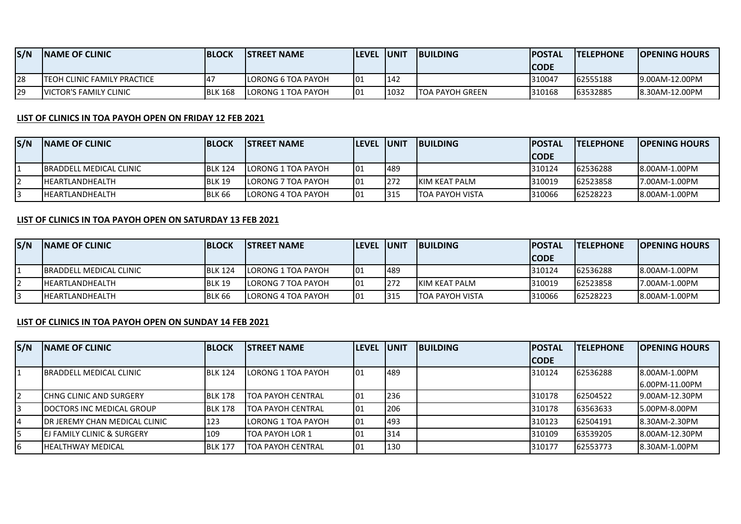| S/N | <b>INAME OF CLINIC</b>         | <b>BLOCK</b>    | <b>ISTREET NAME</b> | <b>ILEVEL IUNIT</b> |      | <b>IBUILDING</b>        | <b>IPOSTAL</b> | <b>ITELEPHONE</b> | <b>IOPENING HOURS</b> |
|-----|--------------------------------|-----------------|---------------------|---------------------|------|-------------------------|----------------|-------------------|-----------------------|
|     |                                |                 |                     |                     |      |                         | ICODE          |                   |                       |
| 128 | ITEOH CLINIC FAMILY PRACTICE   | $\overline{14}$ | LORONG 6 TOA PAYOH  | 101                 | 142  |                         | 310047         | 62555188          | 19.00AM-12.00PM       |
| 129 | <b>IVICTOR'S FAMILY CLINIC</b> | <b>BLK 168</b>  | LORONG 1 TOA PAYOH  | 01                  | 1032 | <b>ITOA PAYOH GREEN</b> | 310168         | 63532885          | 8.30AM-12.00PM        |

## **LIST OF CLINICS IN TOA PAYOH OPEN ON FRIDAY 12 FEB 2021**

| S/N | <b>INAME OF CLINIC</b>          | <b>BLOCK</b>   | <b>ISTREET NAME</b> | <b>ILEVEL IUNIT</b> |      | <b>IBUILDING</b>       | <b>IPOSTAL</b> | <b>ITELEPHONE</b> | <b>IOPENING HOURS</b> |
|-----|---------------------------------|----------------|---------------------|---------------------|------|------------------------|----------------|-------------------|-----------------------|
|     |                                 |                |                     |                     |      |                        | ICODE          |                   |                       |
|     | <b>IBRADDELL MEDICAL CLINIC</b> | <b>BLK 124</b> | LORONG 1 TOA PAYOH  | IO1                 | 1489 |                        | 310124         | 62536288          | 18.00AM-1.00PM        |
|     | <b>IHEARTLANDHEALTH</b>         | <b>BLK 19</b>  | LORONG 7 TOA PAYOH  | 101                 | 272  | <b>IKIM KEAT PALM</b>  | 310019         | 62523858          | 7.00AM-1.00PM         |
|     | <b>IHEARTLANDHEALTH</b>         | <b>BLK 66</b>  | LORONG 4 TOA PAYOH  | 101                 | 1315 | <b>TOA PAYOH VISTA</b> | 310066         | 62528223          | 18.00AM-1.00PM        |

## **LIST OF CLINICS IN TOA PAYOH OPEN ON SATURDAY 13 FEB 2021**

| S/N | <b>INAME OF CLINIC</b>          | <b>IBLOCK</b>  | <b>ISTREET NAME</b>         | <b>ILEVEL IUNIT</b> |            | <b>IBUILDING</b>        | <b>IPOSTAL</b> | <b>ITELEPHONE</b> | <b>IOPENING HOURS</b> |
|-----|---------------------------------|----------------|-----------------------------|---------------------|------------|-------------------------|----------------|-------------------|-----------------------|
|     |                                 |                |                             |                     |            |                         | <b>CODE</b>    |                   |                       |
|     | <b>IBRADDELL MEDICAL CLINIC</b> | <b>BLK 124</b> | LORONG 1 TOA PAYOH          | 101                 | 489        |                         | 310124         | 62536288          | 8.00AM-1.00PM         |
|     | <b>IHEARTLANDHEALTH</b>         | <b>BLK 19</b>  | ILORONG 7 TOA PAYOH         | 101                 | <b>272</b> | <b>IKIM KEAT PALM</b>   | 310019         | 62523858          | 17.00AM-1.00PM        |
|     | <b>IHEARTLANDHEALTH</b>         | BLK 66         | <b>I</b> LORONG 4 TOA PAYOH | 01                  | 1315       | <b>ITOA PAYOH VISTA</b> | 310066         | 62528223          | 8.00AM-1.00PM         |

## **LIST OF CLINICS IN TOA PAYOH OPEN ON SUNDAY 14 FEB 2021**

| S/N | <b>INAME OF CLINIC</b>                | <b>BLOCK</b>   | <b>ISTREET NAME</b> | <b>ILEVEL UNIT</b> |     | <b>BUILDING</b> | <b>POSTAL</b> | <b>ITELEPHONE</b> | <b>OPENING HOURS</b> |
|-----|---------------------------------------|----------------|---------------------|--------------------|-----|-----------------|---------------|-------------------|----------------------|
|     |                                       |                |                     |                    |     |                 | <b>CODE</b>   |                   |                      |
|     | IBRADDELL MEDICAL CLINIC              | <b>BLK 124</b> | LORONG 1 TOA PAYOH  | 101                | 489 |                 | 310124        | 62536288          | 18.00AM-1.00PM       |
|     |                                       |                |                     |                    |     |                 |               |                   | 6.00PM-11.00PM       |
| 12  | <b>I</b> CHNG CLINIC AND SURGERY      | <b>BLK 178</b> | ITOA PAYOH CENTRAL  | 101                | 236 |                 | 310178        | 62504522          | 9.00AM-12.30PM       |
| l3  | <b>IDOCTORS INC MEDICAL GROUP</b>     | <b>BLK 178</b> | ITOA PAYOH CENTRAL  | 101                | 206 |                 | 310178        | 63563633          | 5.00PM-8.00PM        |
| 4   | IDR JEREMY CHAN MEDICAL CLINIC        | 123            | LORONG 1 TOA PAYOH  | 101                | 493 |                 | 310123        | 62504191          | 18.30AM-2.30PM       |
| I5  | <b>EJ FAMILY CLINIC &amp; SURGERY</b> | 109            | ITOA PAYOH LOR 1    | 101                | 314 |                 | 310109        | 63539205          | 8.00AM-12.30PM       |
| 16  | <b>HEALTHWAY MEDICAL</b>              | <b>BLK 177</b> | TOA PAYOH CENTRAL   | 101                | 130 |                 | 310177        | 62553773          | 18.30AM-1.00PM       |